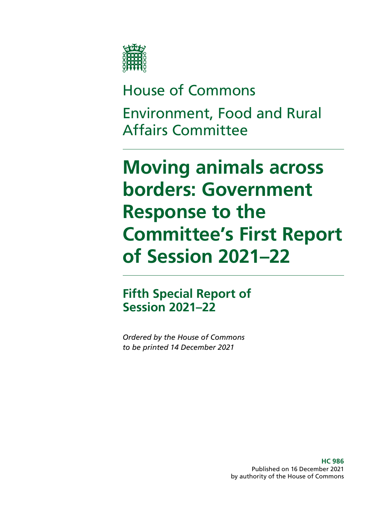

# House of Commons Environment, Food and Rural Affairs Committee

# **Moving animals across borders: Government Response to the Committee's First Report of Session 2021–22**

### **Fifth Special Report of Session 2021–22**

*Ordered by the House of Commons to be printed 14 December 2021*

> **HC 986** Published on 16 December 2021 by authority of the House of Commons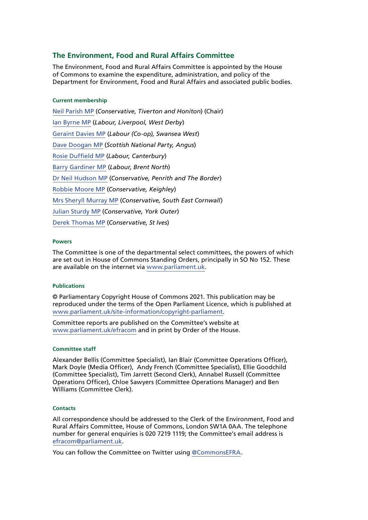### **The Environment, Food and Rural Affairs Committee**

The Environment, Food and Rural Affairs Committee is appointed by the House of Commons to examine the expenditure, administration, and policy of the Department for Environment, Food and Rural Affairs and associated public bodies.

### **Current membership**

[Neil Parish MP](https://members.parliament.uk/member/4072/contact) (*Conservative, Tiverton and Honiton*) (Chair) [Ian Byrne MP](https://members.parliament.uk/member/4831/contact) (*Labour, Liverpool, West Derby*) [Geraint Davies MP](https://members.parliament.uk/member/155/contact) (*Labour (Co-op), Swansea West*) [Dave Doogan MP](https://members.parliament.uk/member/4736/contact) (*Scottish National Party, Angus*) [Rosie Duffield MP](https://members.parliament.uk/member/4616/contact) (*Labour, Canterbury*) [Barry Gardiner MP](https://members.parliament.uk/member/146/contact) (*Labour, Brent North*) [Dr Neil Hudson MP](https://members.parliament.uk/member/4853/contact) (*Conservative, Penrith and The Border*) [Robbie Moore MP](https://members.parliament.uk/member/4861/contact) (*Conservative, Keighley*) [Mrs Sheryll Murray MP](https://members.parliament.uk/member/4100/contact) (*Conservative, South East Cornwall*) [Julian Sturdy MP](https://members.parliament.uk/member/4079/contact) (*Conservative, York Outer*) [Derek Thomas MP](https://members.parliament.uk/member/4532/contact) (*Conservative, St Ives*)

### **Powers**

The Committee is one of the departmental select committees, the powers of which are set out in House of Commons Standing Orders, principally in SO No 152. These are available on the internet via [www.parliament.uk.](http://www.parliament.uk)

### **Publications**

© Parliamentary Copyright House of Commons 2021. This publication may be reproduced under the terms of the Open Parliament Licence, which is published at [www.parliament.uk/site-information/copyright-parliament.](https://www.parliament.uk/site-information/copyright-parliament/)

Committee reports are published on the Committee's website at [www.parliament.uk/efracom](http://www.parliament.uk/efracom) and in print by Order of the House.

### **Committee staff**

Alexander Bellis (Committee Specialist), Ian Blair (Committee Operations Officer), Mark Doyle (Media Officer), Andy French (Committee Specialist), Ellie Goodchild (Committee Specialist), Tim Jarrett (Second Clerk), Annabel Russell (Committee Operations Officer), Chloe Sawyers (Committee Operations Manager) and Ben Williams (Committee Clerk).

### **Contacts**

All correspondence should be addressed to the Clerk of the Environment, Food and Rural Affairs Committee, House of Commons, London SW1A 0AA. The telephone number for general enquiries is 020 7219 1119; the Committee's email address is [efracom@parliament.uk](mailto:efracom%40parliament.uk?subject=).

You can follow the Committee on Twitter using [@CommonsEFRA.](https://twitter.com/CommonsEFRA?ref_src=twsrc%5Egoogle%7Ctwcamp%5Eserp%7Ctwgr%5Eauthor)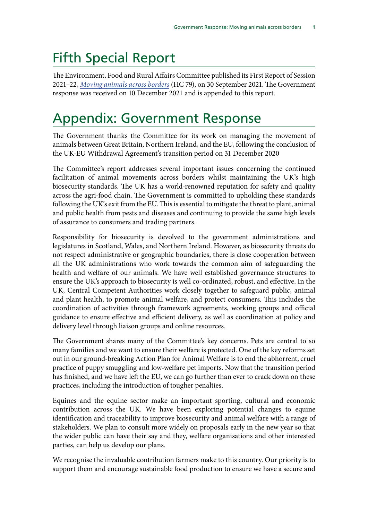## Fifth Special Report

The Environment, Food and Rural Affairs Committee published its First Report of Session 2021–22, *[Moving animals across borders](https://committees.parliament.uk/publications/7464/documents/78318/default/)* (HC 79), on 30 September 2021. The Government response was received on 10 December 2021 and is appended to this report.

## Appendix: Government Response

The Government thanks the Committee for its work on managing the movement of animals between Great Britain, Northern Ireland, and the EU, following the conclusion of the UK-EU Withdrawal Agreement's transition period on 31 December 2020

The Committee's report addresses several important issues concerning the continued facilitation of animal movements across borders whilst maintaining the UK's high biosecurity standards. The UK has a world-renowned reputation for safety and quality across the agri-food chain. The Government is committed to upholding these standards following the UK's exit from the EU. This is essential to mitigate the threat to plant, animal and public health from pests and diseases and continuing to provide the same high levels of assurance to consumers and trading partners.

Responsibility for biosecurity is devolved to the government administrations and legislatures in Scotland, Wales, and Northern Ireland. However, as biosecurity threats do not respect administrative or geographic boundaries, there is close cooperation between all the UK administrations who work towards the common aim of safeguarding the health and welfare of our animals. We have well established governance structures to ensure the UK's approach to biosecurity is well co-ordinated, robust, and effective. In the UK, Central Competent Authorities work closely together to safeguard public, animal and plant health, to promote animal welfare, and protect consumers. This includes the coordination of activities through framework agreements, working groups and official guidance to ensure effective and efficient delivery, as well as coordination at policy and delivery level through liaison groups and online resources.

The Government shares many of the Committee's key concerns. Pets are central to so many families and we want to ensure their welfare is protected. One of the key reforms set out in our ground-breaking Action Plan for Animal Welfare is to end the abhorrent, cruel practice of puppy smuggling and low-welfare pet imports. Now that the transition period has finished, and we have left the EU, we can go further than ever to crack down on these practices, including the introduction of tougher penalties.

Equines and the equine sector make an important sporting, cultural and economic contribution across the UK. We have been exploring potential changes to equine identification and traceability to improve biosecurity and animal welfare with a range of stakeholders. We plan to consult more widely on proposals early in the new year so that the wider public can have their say and they, welfare organisations and other interested parties, can help us develop our plans.

We recognise the invaluable contribution farmers make to this country. Our priority is to support them and encourage sustainable food production to ensure we have a secure and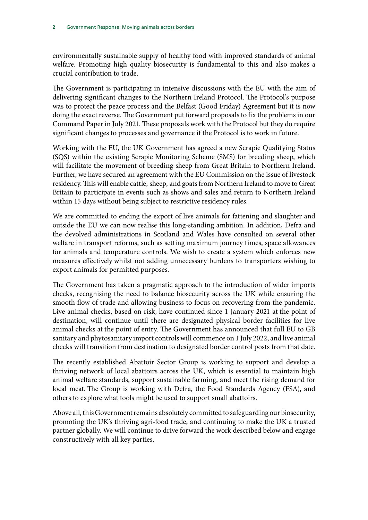environmentally sustainable supply of healthy food with improved standards of animal welfare. Promoting high quality biosecurity is fundamental to this and also makes a crucial contribution to trade.

The Government is participating in intensive discussions with the EU with the aim of delivering significant changes to the Northern Ireland Protocol. The Protocol's purpose was to protect the peace process and the Belfast (Good Friday) Agreement but it is now doing the exact reverse. The Government put forward proposals to fix the problems in our Command Paper in July 2021. These proposals work with the Protocol but they do require significant changes to processes and governance if the Protocol is to work in future.

Working with the EU, the UK Government has agreed a new Scrapie Qualifying Status (SQS) within the existing Scrapie Monitoring Scheme (SMS) for breeding sheep, which will facilitate the movement of breeding sheep from Great Britain to Northern Ireland. Further, we have secured an agreement with the EU Commission on the issue of livestock residency. This will enable cattle, sheep, and goats from Northern Ireland to move to Great Britain to participate in events such as shows and sales and return to Northern Ireland within 15 days without being subject to restrictive residency rules.

We are committed to ending the export of live animals for fattening and slaughter and outside the EU we can now realise this long-standing ambition. In addition, Defra and the devolved administrations in Scotland and Wales have consulted on several other welfare in transport reforms, such as setting maximum journey times, space allowances for animals and temperature controls. We wish to create a system which enforces new measures effectively whilst not adding unnecessary burdens to transporters wishing to export animals for permitted purposes.

The Government has taken a pragmatic approach to the introduction of wider imports checks, recognising the need to balance biosecurity across the UK while ensuring the smooth flow of trade and allowing business to focus on recovering from the pandemic. Live animal checks, based on risk, have continued since 1 January 2021 at the point of destination, will continue until there are designated physical border facilities for live animal checks at the point of entry. The Government has announced that full EU to GB sanitary and phytosanitary import controls will commence on 1 July 2022, and live animal checks will transition from destination to designated border control posts from that date.

The recently established Abattoir Sector Group is working to support and develop a thriving network of local abattoirs across the UK, which is essential to maintain high animal welfare standards, support sustainable farming, and meet the rising demand for local meat. The Group is working with Defra, the Food Standards Agency (FSA), and others to explore what tools might be used to support small abattoirs.

Above all, this Government remains absolutely committed to safeguarding our biosecurity, promoting the UK's thriving agri-food trade, and continuing to make the UK a trusted partner globally. We will continue to drive forward the work described below and engage constructively with all key parties.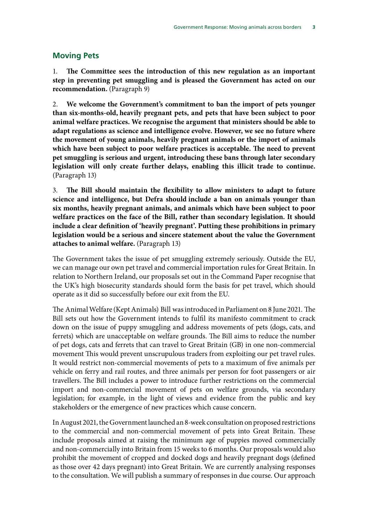### **Moving Pets**

1. **The Committee sees the introduction of this new regulation as an important step in preventing pet smuggling and is pleased the Government has acted on our recommendation.** (Paragraph 9)

2. **We welcome the Government's commitment to ban the import of pets younger than six-months-old, heavily pregnant pets, and pets that have been subject to poor animal welfare practices. We recognise the argument that ministers should be able to adapt regulations as science and intelligence evolve. However, we see no future where the movement of young animals, heavily pregnant animals or the import of animals which have been subject to poor welfare practices is acceptable. The need to prevent pet smuggling is serious and urgent, introducing these bans through later secondary legislation will only create further delays, enabling this illicit trade to continue.**  (Paragraph 13)

3. **The Bill should maintain the flexibility to allow ministers to adapt to future science and intelligence, but Defra should include a ban on animals younger than six months, heavily pregnant animals, and animals which have been subject to poor welfare practices on the face of the Bill, rather than secondary legislation. It should include a clear definition of 'heavily pregnant'. Putting these prohibitions in primary legislation would be a serious and sincere statement about the value the Government attaches to animal welfare.** (Paragraph 13)

The Government takes the issue of pet smuggling extremely seriously. Outside the EU, we can manage our own pet travel and commercial importation rules for Great Britain. In relation to Northern Ireland, our proposals set out in the Command Paper recognise that the UK's high biosecurity standards should form the basis for pet travel, which should operate as it did so successfully before our exit from the EU.

The Animal Welfare (Kept Animals) Bill was introduced in Parliament on 8 June 2021. The Bill sets out how the Government intends to fulfil its manifesto commitment to crack down on the issue of puppy smuggling and address movements of pets (dogs, cats, and ferrets) which are unacceptable on welfare grounds. The Bill aims to reduce the number of pet dogs, cats and ferrets that can travel to Great Britain (GB) in one non-commercial movement This would prevent unscrupulous traders from exploiting our pet travel rules. It would restrict non-commercial movements of pets to a maximum of five animals per vehicle on ferry and rail routes, and three animals per person for foot passengers or air travellers. The Bill includes a power to introduce further restrictions on the commercial import and non-commercial movement of pets on welfare grounds, via secondary legislation; for example, in the light of views and evidence from the public and key stakeholders or the emergence of new practices which cause concern.

In August 2021, the Government launched an 8-week consultation on proposed restrictions to the commercial and non-commercial movement of pets into Great Britain. These include proposals aimed at raising the minimum age of puppies moved commercially and non-commercially into Britain from 15 weeks to 6 months. Our proposals would also prohibit the movement of cropped and docked dogs and heavily pregnant dogs (defined as those over 42 days pregnant) into Great Britain. We are currently analysing responses to the consultation. We will publish a summary of responses in due course. Our approach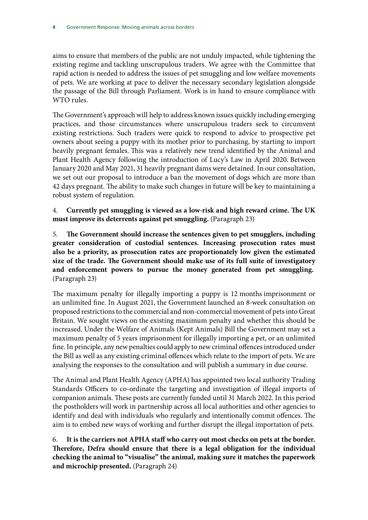aims to ensure that members of the public are not unduly impacted, while tightening the existing regime and tackling unscrupulous traders. We agree with the Committee that rapid action is needed to address the issues of pet smuggling and low welfare movements of pets. We are working at pace to deliver the necessary secondary legislation alongside the passage of the Bill through Parliament. Work is in hand to ensure compliance with WTO rules.

The Government's approach will help to address known issues quickly including emerging practices, and those circumstances where unscrupulous traders seek to circumvent existing restrictions. Such traders were quick to respond to advice to prospective pet owners about seeing a puppy with its mother prior to purchasing, by starting to import heavily pregnant females. This was a relatively new trend identified by the Animal and Plant Health Agency following the introduction of Lucy's Law in April 2020. Between January 2020 and May 2021, 31 heavily pregnant dams were detained. In our consultation, we set out our proposal to introduce a ban the movement of dogs which are more than 42 days pregnant. The ability to make such changes in future will be key to maintaining a robust system of regulation.

4. **Currently pet smuggling is viewed as a low-risk and high reward crime. The UK must improve its deterrents against pet smuggling.** (Paragraph 23)

5. **The Government should increase the sentences given to pet smugglers, including greater consideration of custodial sentences. Increasing prosecution rates must also be a priority, as prosecution rates are proportionately low given the estimated size of the trade. The Government should make use of its full suite of investigatory and enforcement powers to pursue the money generated from pet smuggling.** (Paragraph 23)

The maximum penalty for illegally importing a puppy is 12 months imprisonment or an unlimited fine. In August 2021, the Government launched an 8-week consultation on proposed restrictions to the commercial and non-commercial movement of pets into Great Britain. We sought views on the existing maximum penalty and whether this should be increased. Under the Welfare of Animals (Kept Animals) Bill the Government may set a maximum penalty of 5 years imprisonment for illegally importing a pet, or an unlimited fine. In principle, any new penalties could apply to new criminal offences introduced under the Bill as well as any existing criminal offences which relate to the import of pets. We are analysing the responses to the consultation and will publish a summary in due course.

The Animal and Plant Health Agency (APHA) has appointed two local authority Trading Standards Officers to co-ordinate the targeting and investigation of illegal imports of companion animals. These posts are currently funded until 31 March 2022. In this period the postholders will work in partnership across all local authorities and other agencies to identify and deal with individuals who regularly and intentionally commit offences. The aim is to embed new ways of working and further disrupt the illegal importation of pets.

6. **It is the carriers not APHA staff who carry out most checks on pets at the border. Therefore, Defra should ensure that there is a legal obligation for the individual checking the animal to "visualise" the animal, making sure it matches the paperwork and microchip presented.** (Paragraph 24)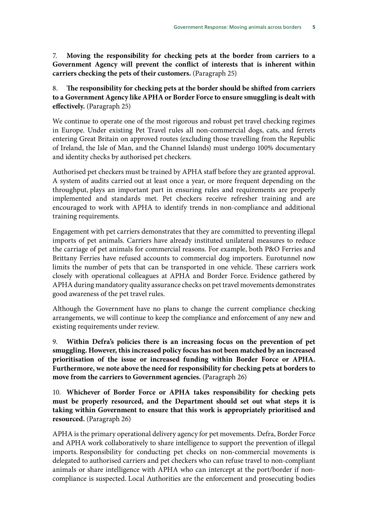7. **Moving the responsibility for checking pets at the border from carriers to a Government Agency will prevent the conflict of interests that is inherent within carriers checking the pets of their customers.** (Paragraph 25)

### 8. **The responsibility for checking pets at the border should be shifted from carriers to a Government Agency like APHA or Border Force to ensure smuggling is dealt with effectively.** (Paragraph 25)

We continue to operate one of the most rigorous and robust pet travel checking regimes in Europe. Under existing Pet Travel rules all non-commercial dogs, cats, and ferrets entering Great Britain on approved routes (excluding those travelling from the Republic of Ireland, the Isle of Man, and the Channel Islands) must undergo 100% documentary and identity checks by authorised pet checkers.

Authorised pet checkers must be trained by APHA staff before they are granted approval. A system of audits carried out at least once a year, or more frequent depending on the throughput, plays an important part in ensuring rules and requirements are properly implemented and standards met. Pet checkers receive refresher training and are encouraged to work with APHA to identify trends in non-compliance and additional training requirements.

Engagement with pet carriers demonstrates that they are committed to preventing illegal imports of pet animals. Carriers have already instituted unilateral measures to reduce the carriage of pet animals for commercial reasons. For example, both P&O Ferries and Brittany Ferries have refused accounts to commercial dog importers. Eurotunnel now limits the number of pets that can be transported in one vehicle. These carriers work closely with operational colleagues at APHA and Border Force. Evidence gathered by APHA during mandatory quality assurance checks on pet travel movements demonstrates good awareness of the pet travel rules.

Although the Government have no plans to change the current compliance checking arrangements, we will continue to keep the compliance and enforcement of any new and existing requirements under review.

9. **Within Defra's policies there is an increasing focus on the prevention of pet smuggling. However, this increased policy focus has not been matched by an increased prioritisation of the issue or increased funding within Border Force or APHA. Furthermore, we note above the need for responsibility for checking pets at borders to move from the carriers to Government agencies.** (Paragraph 26)

10. **Whichever of Border Force or APHA takes responsibility for checking pets must be properly resourced, and the Department should set out what steps it is taking within Government to ensure that this work is appropriately prioritised and resourced.** (Paragraph 26)

APHA is the primary operational delivery agency for pet movements. Defra, Border Force and APHA work collaboratively to share intelligence to support the prevention of illegal imports. Responsibility for conducting pet checks on non-commercial movements is delegated to authorised carriers and pet checkers who can refuse travel to non-compliant animals or share intelligence with APHA who can intercept at the port/border if noncompliance is suspected. Local Authorities are the enforcement and prosecuting bodies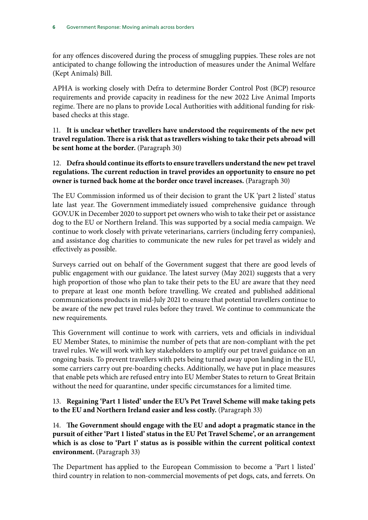for any offences discovered during the process of smuggling puppies. These roles are not anticipated to change following the introduction of measures under the Animal Welfare (Kept Animals) Bill.

APHA is working closely with Defra to determine Border Control Post (BCP) resource requirements and provide capacity in readiness for the new 2022 Live Animal Imports regime. There are no plans to provide Local Authorities with additional funding for riskbased checks at this stage.

11. **It is unclear whether travellers have understood the requirements of the new pet travel regulation. There is a risk that as travellers wishing to take their pets abroad will be sent home at the border.** (Paragraph 30)

12. **Defra should continue its efforts to ensure travellers understand the new pet travel regulations. The current reduction in travel provides an opportunity to ensure no pet owner is turned back home at the border once travel increases.** (Paragraph 30)

The EU Commission informed us of their decision to grant the UK 'part 2 listed' status late last year. The Government immediately issued comprehensive guidance through GOV.UK in December 2020 to support pet owners who wish to take their pet or assistance dog to the EU or Northern Ireland. This was supported by a social media campaign. We continue to work closely with private veterinarians, carriers (including ferry companies), and assistance dog charities to communicate the new rules for pet travel as widely and effectively as possible.

Surveys carried out on behalf of the Government suggest that there are good levels of public engagement with our guidance. The latest survey (May 2021) suggests that a very high proportion of those who plan to take their pets to the EU are aware that they need to prepare at least one month before travelling. We created and published additional communications products in mid-July 2021 to ensure that potential travellers continue to be aware of the new pet travel rules before they travel. We continue to communicate the new requirements.

This Government will continue to work with carriers, vets and officials in individual EU Member States, to minimise the number of pets that are non-compliant with the pet travel rules. We will work with key stakeholders to amplify our pet travel guidance on an ongoing basis. To prevent travellers with pets being turned away upon landing in the EU, some carriers carry out pre-boarding checks. Additionally, we have put in place measures that enable pets which are refused entry into EU Member States to return to Great Britain without the need for quarantine, under specific circumstances for a limited time.

13. **Regaining 'Part 1 listed' under the EU's Pet Travel Scheme will make taking pets to the EU and Northern Ireland easier and less costly.** (Paragraph 33)

14. **The Government should engage with the EU and adopt a pragmatic stance in the pursuit of either 'Part 1 listed' status in the EU Pet Travel Scheme', or an arrangement which is as close to 'Part 1' status as is possible within the current political context environment.** (Paragraph 33)

The Department has applied to the European Commission to become a 'Part 1 listed' third country in relation to non-commercial movements of pet dogs, cats, and ferrets. On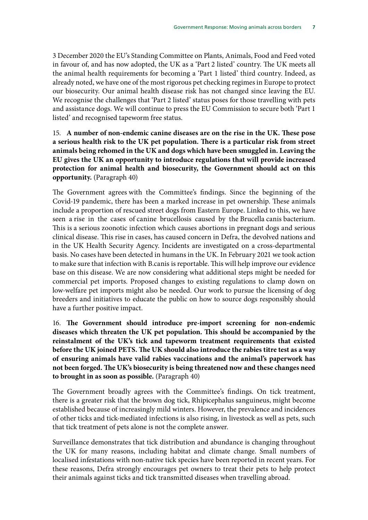3 December 2020 the EU's Standing Committee on Plants, Animals, Food and Feed voted in favour of, and has now adopted, the UK as a 'Part 2 listed' country. The UK meets all the animal health requirements for becoming a 'Part 1 listed' third country. Indeed, as already noted, we have one of the most rigorous pet checking regimes in Europe to protect our biosecurity. Our animal health disease risk has not changed since leaving the EU. We recognise the challenges that 'Part 2 listed' status poses for those travelling with pets and assistance dogs. We will continue to press the EU Commission to secure both 'Part 1 listed' and recognised tapeworm free status.

15. **A number of non-endemic canine diseases are on the rise in the UK. These pose a serious health risk to the UK pet population. There is a particular risk from street animals being rehomed in the UK and dogs which have been smuggled in. Leaving the EU gives the UK an opportunity to introduce regulations that will provide increased protection for animal health and biosecurity, the Government should act on this opportunity.** (Paragraph 40)

The Government agrees with the Committee's findings. Since the beginning of the Covid-19 pandemic, there has been a marked increase in pet ownership. These animals include a proportion of rescued street dogs from Eastern Europe. Linked to this, we have seen a rise in the cases of canine brucellosis caused by the Brucella canis bacterium. This is a serious zoonotic infection which causes abortions in pregnant dogs and serious clinical disease. This rise in cases, has caused concern in Defra, the devolved nations and in the UK Health Security Agency. Incidents are investigated on a cross-departmental basis. No cases have been detected in humans in the UK. In February 2021 we took action to make sure that infection with B.canis is reportable. This will help improve our evidence base on this disease. We are now considering what additional steps might be needed for commercial pet imports. Proposed changes to existing regulations to clamp down on low-welfare pet imports might also be needed. Our work to pursue the licensing of dog breeders and initiatives to educate the public on how to source dogs responsibly should have a further positive impact.

16. **The Government should introduce pre-import screening for non-endemic diseases which threaten the UK pet population. This should be accompanied by the reinstalment of the UK's tick and tapeworm treatment requirements that existed before the UK joined PETS. The UK should also introduce the rabies titre test as a way of ensuring animals have valid rabies vaccinations and the animal's paperwork has not been forged. The UK's biosecurity is being threatened now and these changes need to brought in as soon as possible.** (Paragraph 40)

The Government broadly agrees with the Committee's findings. On tick treatment, there is a greater risk that the brown dog tick, Rhipicephalus sanguineus, might become established because of increasingly mild winters. However, the prevalence and incidences of other ticks and tick-mediated infections is also rising, in livestock as well as pets, such that tick treatment of pets alone is not the complete answer.

Surveillance demonstrates that tick distribution and abundance is changing throughout the UK for many reasons, including habitat and climate change. Small numbers of localised infestations with non-native tick species have been reported in recent years. For these reasons, Defra strongly encourages pet owners to treat their pets to help protect their animals against ticks and tick transmitted diseases when travelling abroad.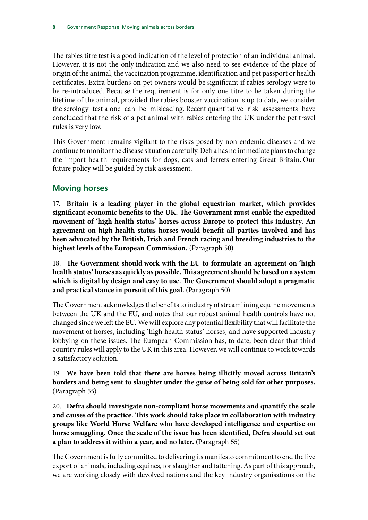The rabies titre test is a good indication of the level of protection of an individual animal. However, it is not the only indication and we also need to see evidence of the place of origin of the animal, the vaccination programme, identification and pet passport or health certificates. Extra burdens on pet owners would be significant if rabies serology were to be re-introduced. Because the requirement is for only one titre to be taken during the lifetime of the animal, provided the rabies booster vaccination is up to date, we consider the serology test alone can be misleading. Recent quantitative risk assessments have concluded that the risk of a pet animal with rabies entering the UK under the pet travel rules is very low.

This Government remains vigilant to the risks posed by non-endemic diseases and we continue to monitor the disease situation carefully. Defra has no immediate plans to change the import health requirements for dogs, cats and ferrets entering Great Britain. Our future policy will be guided by risk assessment.

### **Moving horses**

17. **Britain is a leading player in the global equestrian market, which provides significant economic benefits to the UK. The Government must enable the expedited movement of 'high health status' horses across Europe to protect this industry. An agreement on high health status horses would benefit all parties involved and has been advocated by the British, Irish and French racing and breeding industries to the highest levels of the European Commission.** (Paragraph 50)

18. **The Government should work with the EU to formulate an agreement on 'high health status' horses as quickly as possible. This agreement should be based on a system which is digital by design and easy to use. The Government should adopt a pragmatic and practical stance in pursuit of this goal.** (Paragraph 50)

The Government acknowledges the benefits to industry of streamlining equine movements between the UK and the EU, and notes that our robust animal health controls have not changed since we left the EU. We will explore any potential flexibility that will facilitate the movement of horses, including 'high health status' horses, and have supported industry lobbying on these issues. The European Commission has, to date, been clear that third country rules will apply to the UK in this area. However, we will continue to work towards a satisfactory solution.

19. **We have been told that there are horses being illicitly moved across Britain's borders and being sent to slaughter under the guise of being sold for other purposes.** (Paragraph 55)

20. **Defra should investigate non-compliant horse movements and quantify the scale and causes of the practice. This work should take place in collaboration with industry groups like World Horse Welfare who have developed intelligence and expertise on horse smuggling. Once the scale of the issue has been identified, Defra should set out a plan to address it within a year, and no later.** (Paragraph 55)

The Government is fully committed to delivering its manifesto commitment to end the live export of animals, including equines, for slaughter and fattening. As part of this approach, we are working closely with devolved nations and the key industry organisations on the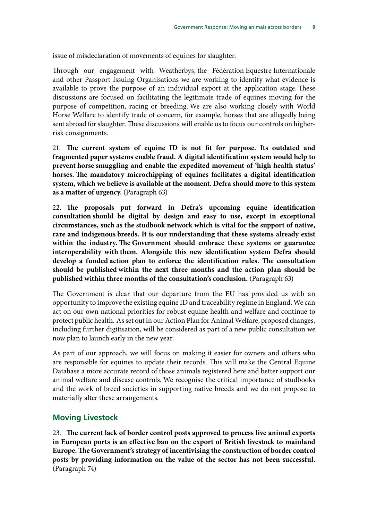issue of misdeclaration of movements of equines for slaughter.

Through our engagement with Weatherbys, the Fédération Equestre Internationale and other Passport Issuing Organisations we are working to identify what evidence is available to prove the purpose of an individual export at the application stage. These discussions are focused on facilitating the legitimate trade of equines moving for the purpose of competition, racing or breeding. We are also working closely with World Horse Welfare to identify trade of concern, for example, horses that are allegedly being sent abroad for slaughter. These discussions will enable us to focus our controls on higherrisk consignments.

21. **The current system of equine ID is not fit for purpose. Its outdated and fragmented paper systems enable fraud. A digital identification system would help to prevent horse smuggling and enable the expedited movement of 'high health status' horses. The mandatory microchipping of equines facilitates a digital identification system, which we believe is available at the moment. Defra should move to this system as a matter of urgency.** (Paragraph 63)

22. **The proposals put forward in Defra's upcoming equine identification consultation should be digital by design and easy to use, except in exceptional circumstances, such as the studbook network which is vital for the support of native, rare and indigenous breeds. It is our understanding that these systems already exist within the industry. The Government should embrace these systems or guarantee interoperability with them. Alongside this new identification system Defra should develop a funded action plan to enforce the identification rules. The consultation should be published within the next three months and the action plan should be published within three months of the consultation's conclusion.** (Paragraph 63)

The Government is clear that our departure from the EU has provided us with an opportunity to improve the existing equine ID and traceability regime in England. We can act on our own national priorities for robust equine health and welfare and continue to protect public health. As set out in our Action Plan for Animal Welfare, proposed changes, including further digitisation, will be considered as part of a new public consultation we now plan to launch early in the new year.

As part of our approach, we will focus on making it easier for owners and others who are responsible for equines to update their records. This will make the Central Equine Database a more accurate record of those animals registered here and better support our animal welfare and disease controls. We recognise the critical importance of studbooks and the work of breed societies in supporting native breeds and we do not propose to materially alter these arrangements.

### **Moving Livestock**

23. **The current lack of border control posts approved to process live animal exports in European ports is an effective ban on the export of British livestock to mainland Europe. The Government's strategy of incentivising the construction of border control posts by providing information on the value of the sector has not been successful.**  (Paragraph 74)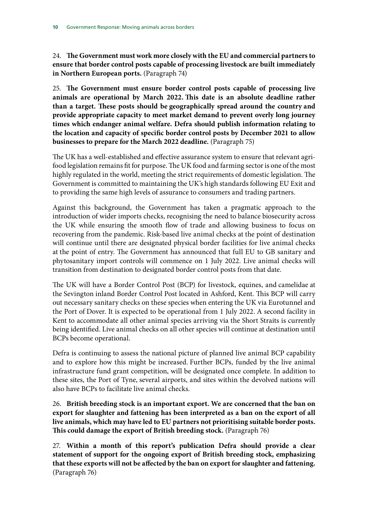24. **The Government must work more closely with the EU and commercial partners to ensure that border control posts capable of processing livestock are built immediately in Northern European ports.** (Paragraph 74)

25. **The Government must ensure border control posts capable of processing live animals are operational by March 2022. This date is an absolute deadline rather than a target. These posts should be geographically spread around the country and provide appropriate capacity to meet market demand to prevent overly long journey times which endanger animal welfare. Defra should publish information relating to the location and capacity of specific border control posts by December 2021 to allow businesses to prepare for the March 2022 deadline.** (Paragraph 75)

The UK has a well-established and effective assurance system to ensure that relevant agrifood legislation remains fit for purpose. The UK food and farming sector is one of the most highly regulated in the world, meeting the strict requirements of domestic legislation. The Government is committed to maintaining the UK's high standards following EU Exit and to providing the same high levels of assurance to consumers and trading partners.

Against this background, the Government has taken a pragmatic approach to the introduction of wider imports checks, recognising the need to balance biosecurity across the UK while ensuring the smooth flow of trade and allowing business to focus on recovering from the pandemic. Risk-based live animal checks at the point of destination will continue until there are designated physical border facilities for live animal checks at the point of entry. The Government has announced that full EU to GB sanitary and phytosanitary import controls will commence on 1 July 2022. Live animal checks will transition from destination to designated border control posts from that date.

The UK will have a Border Control Post (BCP) for livestock, equines, and camelidae at the Sevington inland Border Control Post located in Ashford, Kent. This BCP will carry out necessary sanitary checks on these species when entering the UK via Eurotunnel and the Port of Dover. It is expected to be operational from 1 July 2022. A second facility in Kent to accommodate all other animal species arriving via the Short Straits is currently being identified. Live animal checks on all other species will continue at destination until BCPs become operational.

Defra is continuing to assess the national picture of planned live animal BCP capability and to explore how this might be increased. Further BCPs, funded by the live animal infrastructure fund grant competition, will be designated once complete. In addition to these sites, the Port of Tyne, several airports, and sites within the devolved nations will also have BCPs to facilitate live animal checks.

26. **British breeding stock is an important export. We are concerned that the ban on export for slaughter and fattening has been interpreted as a ban on the export of all live animals, which may have led to EU partners not prioritising suitable border posts. This could damage the export of British breeding stock.** (Paragraph 76)

27. **Within a month of this report's publication Defra should provide a clear statement of support for the ongoing export of British breeding stock, emphasizing that these exports will not be affected by the ban on export for slaughter and fattening.** (Paragraph 76)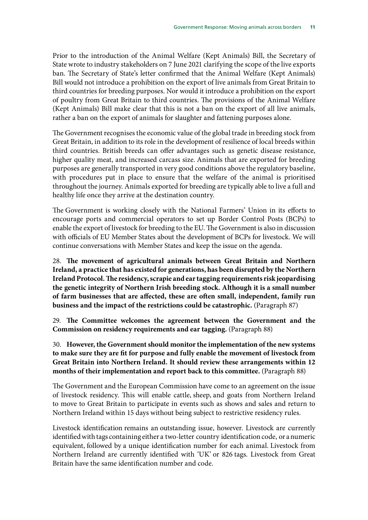Prior to the introduction of the Animal Welfare (Kept Animals) Bill, the Secretary of State wrote to industry stakeholders on 7 June 2021 clarifying the scope of the live exports ban. The Secretary of State's letter confirmed that the Animal Welfare (Kept Animals) Bill would not introduce a prohibition on the export of live animals from Great Britain to third countries for breeding purposes. Nor would it introduce a prohibition on the export of poultry from Great Britain to third countries. The provisions of the Animal Welfare (Kept Animals) Bill make clear that this is not a ban on the export of all live animals, rather a ban on the export of animals for slaughter and fattening purposes alone.

The Government recognises the economic value of the global trade in breeding stock from Great Britain, in addition to its role in the development of resilience of local breeds within third countries. British breeds can offer advantages such as genetic disease resistance, higher quality meat, and increased carcass size. Animals that are exported for breeding purposes are generally transported in very good conditions above the regulatory baseline, with procedures put in place to ensure that the welfare of the animal is prioritised throughout the journey. Animals exported for breeding are typically able to live a full and healthy life once they arrive at the destination country.

The Government is working closely with the National Farmers' Union in its efforts to encourage ports and commercial operators to set up Border Control Posts (BCPs) to enable the export of livestock for breeding to the EU. The Government is also in discussion with officials of EU Member States about the development of BCPs for livestock. We will continue conversations with Member States and keep the issue on the agenda.

28. **The movement of agricultural animals between Great Britain and Northern Ireland, a practice that has existed for generations, has been disrupted by the Northern Ireland Protocol. The residency, scrapie and ear tagging requirements risk jeopardising the genetic integrity of Northern Irish breeding stock. Although it is a small number of farm businesses that are affected, these are often small, independent, family run business and the impact of the restrictions could be catastrophic.** (Paragraph 87)

29. **The Committee welcomes the agreement between the Government and the Commission on residency requirements and ear tagging.** (Paragraph 88)

30. **However, the Government should monitor the implementation of the new systems to make sure they are fit for purpose and fully enable the movement of livestock from Great Britain into Northern Ireland. It should review these arrangements within 12 months of their implementation and report back to this committee.** (Paragraph 88)

The Government and the European Commission have come to an agreement on the issue of livestock residency. This will enable cattle, sheep, and goats from Northern Ireland to move to Great Britain to participate in events such as shows and sales and return to Northern Ireland within 15 days without being subject to restrictive residency rules.

Livestock identification remains an outstanding issue, however. Livestock are currently identified with tags containing either a two-letter country identification code, or a numeric equivalent, followed by a unique identification number for each animal. Livestock from Northern Ireland are currently identified with 'UK' or 826 tags. Livestock from Great Britain have the same identification number and code.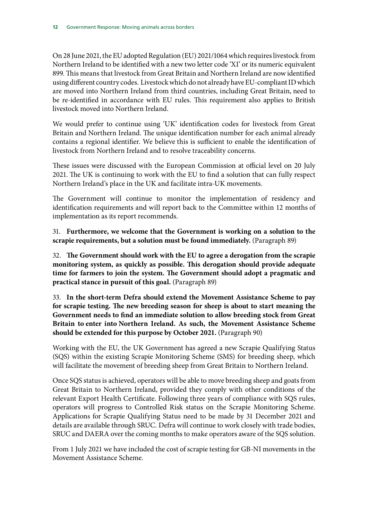On 28 June 2021, the EU adopted Regulation (EU) 2021/1064 which requires livestock from Northern Ireland to be identified with a new two letter code 'XI' or its numeric equivalent 899. This means that livestock from Great Britain and Northern Ireland are now identified using different country codes. Livestock which do not already have EU-compliant ID which are moved into Northern Ireland from third countries, including Great Britain, need to be re-identified in accordance with EU rules. This requirement also applies to British livestock moved into Northern Ireland.

We would prefer to continue using 'UK' identification codes for livestock from Great Britain and Northern Ireland. The unique identification number for each animal already contains a regional identifier. We believe this is sufficient to enable the identification of livestock from Northern Ireland and to resolve traceability concerns.

These issues were discussed with the European Commission at official level on 20 July 2021. The UK is continuing to work with the EU to find a solution that can fully respect Northern Ireland's place in the UK and facilitate intra-UK movements.

The Government will continue to monitor the implementation of residency and identification requirements and will report back to the Committee within 12 months of implementation as its report recommends.

31. **Furthermore, we welcome that the Government is working on a solution to the scrapie requirements, but a solution must be found immediately.** (Paragraph 89)

32. **The Government should work with the EU to agree a derogation from the scrapie monitoring system, as quickly as possible. This derogation should provide adequate time for farmers to join the system. The Government should adopt a pragmatic and practical stance in pursuit of this goal.** (Paragraph 89)

33. **In the short-term Defra should extend the Movement Assistance Scheme to pay for scrapie testing. The new breeding season for sheep is about to start meaning the Government needs to find an immediate solution to allow breeding stock from Great Britain to enter into Northern Ireland. As such, the Movement Assistance Scheme should be extended for this purpose by October 2021.** (Paragraph 90)

Working with the EU, the UK Government has agreed a new Scrapie Qualifying Status (SQS) within the existing Scrapie Monitoring Scheme (SMS) for breeding sheep, which will facilitate the movement of breeding sheep from Great Britain to Northern Ireland.

Once SQS status is achieved, operators will be able to move breeding sheep and goats from Great Britain to Northern Ireland, provided they comply with other conditions of the relevant Export Health Certificate. Following three years of compliance with SQS rules, operators will progress to Controlled Risk status on the Scrapie Monitoring Scheme. Applications for Scrapie Qualifying Status need to be made by 31 December 2021 and details are available through SRUC. Defra will continue to work closely with trade bodies, SRUC and DAERA over the coming months to make operators aware of the SQS solution.

From 1 July 2021 we have included the cost of scrapie testing for GB-NI movements in the Movement Assistance Scheme.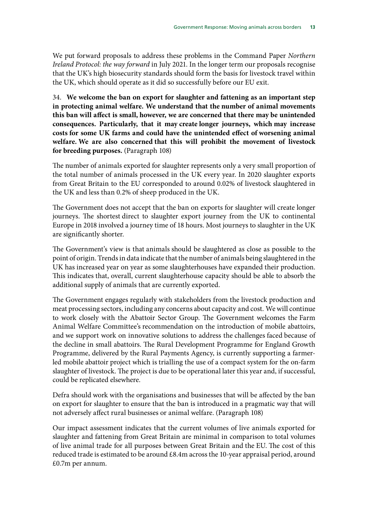We put forward proposals to address these problems in the Command Paper *Northern Ireland Protocol: the way forward* in July 2021. In the longer term our proposals recognise that the UK's high biosecurity standards should form the basis for livestock travel within the UK, which should operate as it did so successfully before our EU exit.

34. **We welcome the ban on export for slaughter and fattening as an important step in protecting animal welfare. We understand that the number of animal movements this ban will affect is small, however, we are concerned that there may be unintended consequences. Particularly, that it may create longer journeys, which may increase costs for some UK farms and could have the unintended effect of worsening animal welfare. We are also concerned that this will prohibit the movement of livestock for breeding purposes.** (Paragraph 108)

The number of animals exported for slaughter represents only a very small proportion of the total number of animals processed in the UK every year. In 2020 slaughter exports from Great Britain to the EU corresponded to around 0.02% of livestock slaughtered in the UK and less than 0.2% of sheep produced in the UK.

The Government does not accept that the ban on exports for slaughter will create longer journeys. The shortest direct to slaughter export journey from the UK to continental Europe in 2018 involved a journey time of 18 hours. Most journeys to slaughter in the UK are significantly shorter.

The Government's view is that animals should be slaughtered as close as possible to the point of origin. Trends in data indicate that the number of animals being slaughtered in the UK has increased year on year as some slaughterhouses have expanded their production. This indicates that, overall, current slaughterhouse capacity should be able to absorb the additional supply of animals that are currently exported.

The Government engages regularly with stakeholders from the livestock production and meat processing sectors, including any concerns about capacity and cost. We will continue to work closely with the Abattoir Sector Group. The Government welcomes the Farm Animal Welfare Committee's recommendation on the introduction of mobile abattoirs, and we support work on innovative solutions to address the challenges faced because of the decline in small abattoirs. The Rural Development Programme for England Growth Programme, delivered by the Rural Payments Agency, is currently supporting a farmerled mobile abattoir project which is trialling the use of a compact system for the on-farm slaughter of livestock. The project is due to be operational later this year and, if successful, could be replicated elsewhere.

Defra should work with the organisations and businesses that will be affected by the ban on export for slaughter to ensure that the ban is introduced in a pragmatic way that will not adversely affect rural businesses or animal welfare. (Paragraph 108)

Our impact assessment indicates that the current volumes of live animals exported for slaughter and fattening from Great Britain are minimal in comparison to total volumes of live animal trade for all purposes between Great Britain and the EU. The cost of this reduced trade is estimated to be around £8.4m across the 10-year appraisal period, around £0.7m per annum.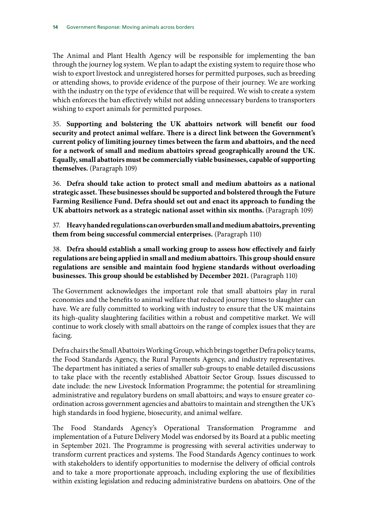The Animal and Plant Health Agency will be responsible for implementing the ban through the journey log system. We plan to adapt the existing system to require those who wish to export livestock and unregistered horses for permitted purposes, such as breeding or attending shows, to provide evidence of the purpose of their journey. We are working with the industry on the type of evidence that will be required. We wish to create a system which enforces the ban effectively whilst not adding unnecessary burdens to transporters wishing to export animals for permitted purposes.

35. **Supporting and bolstering the UK abattoirs network will benefit our food security and protect animal welfare. There is a direct link between the Government's current policy of limiting journey times between the farm and abattoirs, and the need for a network of small and medium abattoirs spread geographically around the UK. Equally, small abattoirs must be commercially viable businesses, capable of supporting themselves.** (Paragraph 109)

36. **Defra should take action to protect small and medium abattoirs as a national strategic asset. These businesses should be supported and bolstered through the Future Farming Resilience Fund. Defra should set out and enact its approach to funding the UK abattoirs network as a strategic national asset within six months.** (Paragraph 109)

37. **Heavy handed regulations can overburden small and medium abattoirs, preventing them from being successful commercial enterprises.** (Paragraph 110)

38. **Defra should establish a small working group to assess how effectively and fairly regulations are being applied in small and medium abattoirs. This group should ensure regulations are sensible and maintain food hygiene standards without overloading businesses. This group should be established by December 2021.** (Paragraph 110)

The Government acknowledges the important role that small abattoirs play in rural economies and the benefits to animal welfare that reduced journey times to slaughter can have. We are fully committed to working with industry to ensure that the UK maintains its high-quality slaughtering facilities within a robust and competitive market. We will continue to work closely with small abattoirs on the range of complex issues that they are facing.

Defra chairs the Small Abattoirs Working Group, which brings together Defra policy teams, the Food Standards Agency, the Rural Payments Agency, and industry representatives. The department has initiated a series of smaller sub-groups to enable detailed discussions to take place with the recently established Abattoir Sector Group. Issues discussed to date include: the new Livestock Information Programme; the potential for streamlining administrative and regulatory burdens on small abattoirs; and ways to ensure greater coordination across government agencies and abattoirs to maintain and strengthen the UK's high standards in food hygiene, biosecurity, and animal welfare.

The Food Standards Agency's Operational Transformation Programme and implementation of a Future Delivery Model was endorsed by its Board at a public meeting in September 2021. The Programme is progressing with several activities underway to transform current practices and systems. The Food Standards Agency continues to work with stakeholders to identify opportunities to modernise the delivery of official controls and to take a more proportionate approach, including exploring the use of flexibilities within existing legislation and reducing administrative burdens on abattoirs. One of the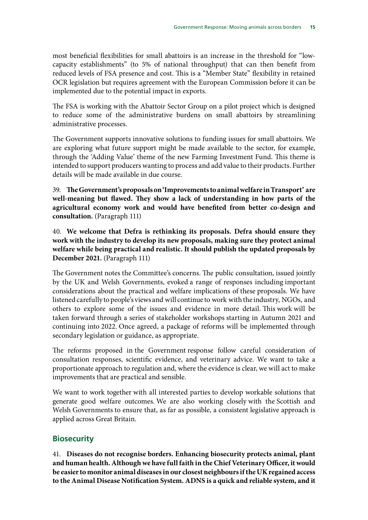most beneficial flexibilities for small abattoirs is an increase in the threshold for "lowcapacity establishments" (to 5% of national throughput) that can then benefit from reduced levels of FSA presence and cost. This is a "Member State" flexibility in retained OCR legislation but requires agreement with the European Commission before it can be implemented due to the potential impact in exports.

The FSA is working with the Abattoir Sector Group on a pilot project which is designed to reduce some of the administrative burdens on small abattoirs by streamlining administrative processes.

The Government supports innovative solutions to funding issues for small abattoirs. We are exploring what future support might be made available to the sector, for example, through the 'Adding Value' theme of the new Farming Investment Fund. This theme is intended to support producers wanting to process and add value to their products. Further details will be made available in due course.

39. **The Government's proposals on 'Improvements to animal welfare in Transport' are well-meaning but flawed. They show a lack of understanding in how parts of the agricultural economy work and would have benefited from better co-design and consultation.** (Paragraph 111)

40. **We welcome that Defra is rethinking its proposals. Defra should ensure they work with the industry to develop its new proposals, making sure they protect animal welfare while being practical and realistic. It should publish the updated proposals by December 2021.** (Paragraph 111)

The Government notes the Committee's concerns. The public consultation, issued jointly by the UK and Welsh Governments, evoked a range of responses including important considerations about the practical and welfare implications of these proposals. We have listened carefully to people's views and will continue to work with the industry, NGOs, and others to explore some of the issues and evidence in more detail. This work will be taken forward through a series of stakeholder workshops starting in Autumn 2021 and continuing into 2022. Once agreed, a package of reforms will be implemented through secondary legislation or guidance, as appropriate.

The reforms proposed in the Government response follow careful consideration of consultation responses, scientific evidence, and veterinary advice. We want to take a proportionate approach to regulation and, where the evidence is clear, we will act to make improvements that are practical and sensible.

We want to work together with all interested parties to develop workable solutions that generate good welfare outcomes. We are also working closely with the Scottish and Welsh Governments to ensure that, as far as possible, a consistent legislative approach is applied across Great Britain.

### **Biosecurity**

41. **Diseases do not recognise borders. Enhancing biosecurity protects animal, plant and human health. Although we have full faith in the Chief Veterinary Officer, it would be easier to monitor animal diseases in our closest neighbours if the UK regained access to the Animal Disease Notification System. ADNS is a quick and reliable system, and it**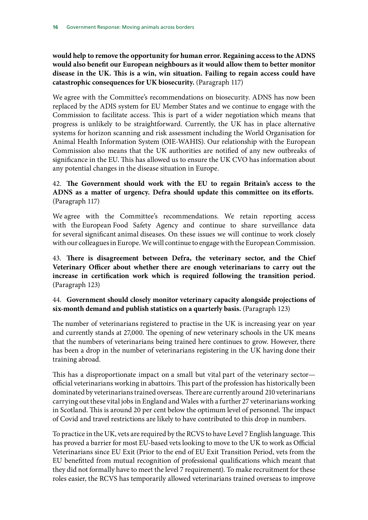**would help to remove the opportunity for human error. Regaining access to the ADNS would also benefit our European neighbours as it would allow them to better monitor disease in the UK. This is a win, win situation. Failing to regain access could have catastrophic consequences for UK biosecurity.** (Paragraph 117)

We agree with the Committee's recommendations on biosecurity. ADNS has now been replaced by the ADIS system for EU Member States and we continue to engage with the Commission to facilitate access. This is part of a wider negotiation which means that progress is unlikely to be straightforward. Currently, the UK has in place alternative systems for horizon scanning and risk assessment including the World Organisation for Animal Health Information System (OIE-WAHIS). Our relationship with the European Commission also means that the UK authorities are notified of any new outbreaks of significance in the EU. This has allowed us to ensure the UK CVO has information about any potential changes in the disease situation in Europe.

### 42. **The Government should work with the EU to regain Britain's access to the ADNS as a matter of urgency. Defra should update this committee on its efforts.** (Paragraph 117)

We agree with the Committee's recommendations. We retain reporting access with the European Food Safety Agency and continue to share surveillance data for several significant animal diseases. On these issues we will continue to work closely with our colleagues in Europe. We will continue to engage with the European Commission.

43. **There is disagreement between Defra, the veterinary sector, and the Chief Veterinary Officer about whether there are enough veterinarians to carry out the increase in certification work which is required following the transition period.** (Paragraph 123)

### 44. **Government should closely monitor veterinary capacity alongside projections of six-month demand and publish statistics on a quarterly basis.** (Paragraph 123)

The number of veterinarians registered to practise in the UK is increasing year on year and currently stands at 27,000. The opening of new veterinary schools in the UK means that the numbers of veterinarians being trained here continues to grow. However, there has been a drop in the number of veterinarians registering in the UK having done their training abroad.

This has a disproportionate impact on a small but vital part of the veterinary sector official veterinarians working in abattoirs. This part of the profession has historically been dominated by veterinarians trained overseas. There are currently around 210 veterinarians carrying out these vital jobs in England and Wales with a further 27 veterinarians working in Scotland. This is around 20 per cent below the optimum level of personnel. The impact of Covid and travel restrictions are likely to have contributed to this drop in numbers.

To practice in the UK, vets are required by the RCVS to have Level 7 English language. This has proved a barrier for most EU-based vets looking to move to the UK to work as Official Veterinarians since EU Exit (Prior to the end of EU Exit Transition Period, vets from the EU benefitted from mutual recognition of professional qualifications which meant that they did not formally have to meet the level 7 requirement). To make recruitment for these roles easier, the RCVS has temporarily allowed veterinarians trained overseas to improve